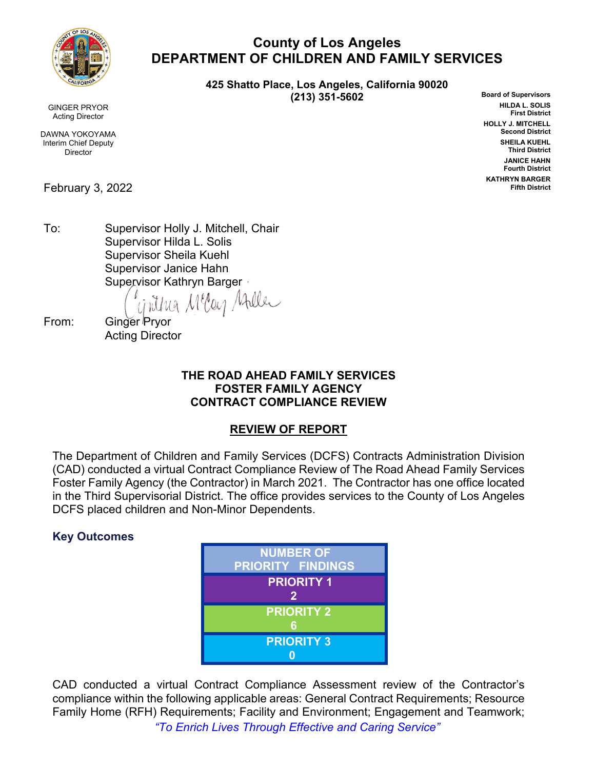

GINGER PRYOR Acting Director

DAWNA YOKOYAMA Interim Chief Deputy **Director** 

February 3, 2022

**County of Los Angeles DEPARTMENT OF CHILDREN AND FAMILY SERVICES**

> **425 Shatto Place, Los Angeles, California 90020 (213) 351-5602**

**Board of Supervisors HILDA L. SOLIS First District HOLLY J. MITCHELL Second District SHEILA KUEHL Third District JANICE HAHN Fourth District KATHRYN BARGER Fifth District**

To: Supervisor Holly J. Mitchell, Chair Supervisor Hilda L. Solis Supervisor Sheila Kuehl Supervisor Janice Hahn

Supervisor Kathryn Barger<br>(ii) Mun M<sup>u</sup>lon Alle

From: Ginger Pryor Acting Director

## **THE ROAD AHEAD FAMILY SERVICES FOSTER FAMILY AGENCY CONTRACT COMPLIANCE REVIEW**

# **REVIEW OF REPORT**

The Department of Children and Family Services (DCFS) Contracts Administration Division (CAD) conducted a virtual Contract Compliance Review of The Road Ahead Family Services Foster Family Agency (the Contractor) in March 2021. The Contractor has one office located in the Third Supervisorial District. The office provides services to the County of Los Angeles DCFS placed children and Non-Minor Dependents.

# **Key Outcomes**



*"To Enrich Lives Through Effective and Caring Service"* CAD conducted a virtual Contract Compliance Assessment review of the Contractor's compliance within the following applicable areas: General Contract Requirements; Resource Family Home (RFH) Requirements; Facility and Environment; Engagement and Teamwork;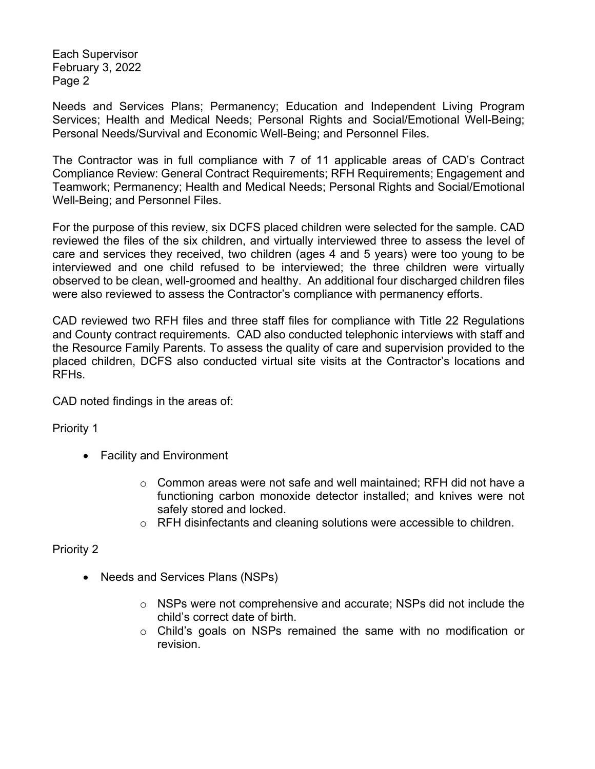Each Supervisor February 3, 2022 Page 2

Needs and Services Plans; Permanency; Education and Independent Living Program Services; Health and Medical Needs; Personal Rights and Social/Emotional Well-Being; Personal Needs/Survival and Economic Well-Being; and Personnel Files.

The Contractor was in full compliance with 7 of 11 applicable areas of CAD's Contract Compliance Review: General Contract Requirements; RFH Requirements; Engagement and Teamwork; Permanency; Health and Medical Needs; Personal Rights and Social/Emotional Well-Being; and Personnel Files.

For the purpose of this review, six DCFS placed children were selected for the sample. CAD reviewed the files of the six children, and virtually interviewed three to assess the level of care and services they received, two children (ages 4 and 5 years) were too young to be interviewed and one child refused to be interviewed; the three children were virtually observed to be clean, well-groomed and healthy. An additional four discharged children files were also reviewed to assess the Contractor's compliance with permanency efforts.

CAD reviewed two RFH files and three staff files for compliance with Title 22 Regulations and County contract requirements. CAD also conducted telephonic interviews with staff and the Resource Family Parents. To assess the quality of care and supervision provided to the placed children, DCFS also conducted virtual site visits at the Contractor's locations and RFHs.

CAD noted findings in the areas of:

Priority 1

- Facility and Environment
	- $\circ$  Common areas were not safe and well maintained; RFH did not have a functioning carbon monoxide detector installed; and knives were not safely stored and locked.
	- o RFH disinfectants and cleaning solutions were accessible to children.

## Priority 2

- Needs and Services Plans (NSPs)
	- o NSPs were not comprehensive and accurate; NSPs did not include the child's correct date of birth.
	- o Child's goals on NSPs remained the same with no modification or revision.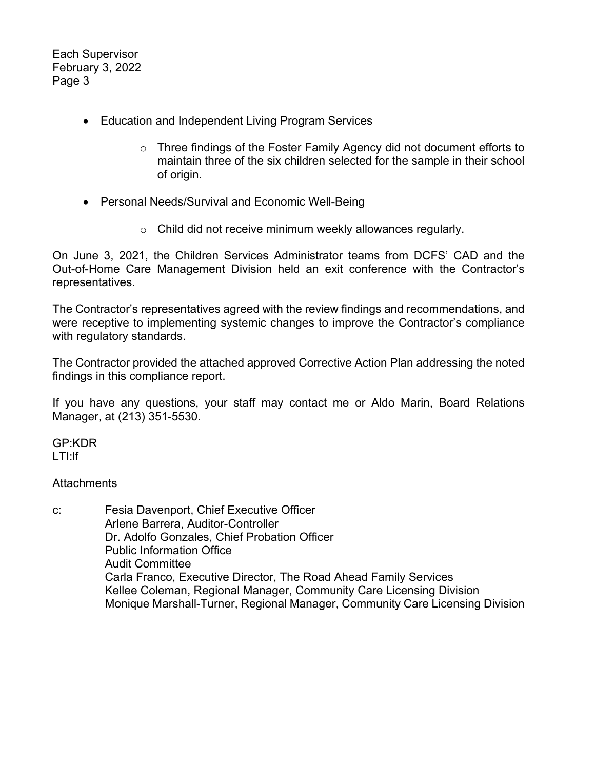Each Supervisor February 3, 2022 Page 3

- Education and Independent Living Program Services
	- $\circ$  Three findings of the Foster Family Agency did not document efforts to maintain three of the six children selected for the sample in their school of origin.
- Personal Needs/Survival and Economic Well-Being
	- o Child did not receive minimum weekly allowances regularly.

On June 3, 2021, the Children Services Administrator teams from DCFS' CAD and the Out-of-Home Care Management Division held an exit conference with the Contractor's representatives.

The Contractor's representatives agreed with the review findings and recommendations, and were receptive to implementing systemic changes to improve the Contractor's compliance with regulatory standards.

The Contractor provided the attached approved Corrective Action Plan addressing the noted findings in this compliance report.

If you have any questions, your staff may contact me or Aldo Marin, Board Relations Manager, at (213) 351-5530.

GP:KDR LTI:lf

**Attachments** 

c: Fesia Davenport, Chief Executive Officer Arlene Barrera, Auditor-Controller Dr. Adolfo Gonzales, Chief Probation Officer Public Information Office Audit Committee Carla Franco, Executive Director, The Road Ahead Family Services Kellee Coleman, Regional Manager, Community Care Licensing Division Monique Marshall-Turner, Regional Manager, Community Care Licensing Division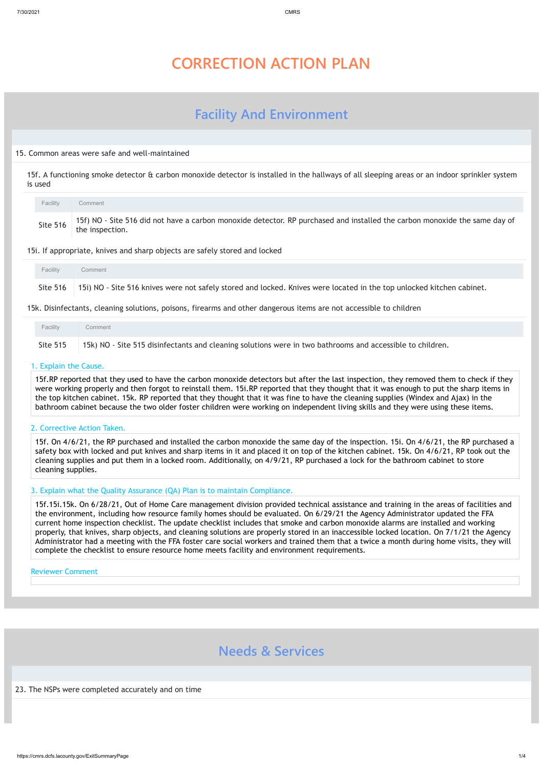# **CORRECTION ACTION PLAN**

# **Facility And Environment**

### 15. Common areas were safe and well-maintained

15f. A functioning smoke detector & carbon monoxide detector is installed in the hallways of all sleeping areas or an indoor sprinkler system is used

### 15i. If appropriate, knives and sharp objects are safely stored and locked

15k. Disinfectants, cleaning solutions, poisons, firearms and other dangerous items are not accessible to children

#### 1. Explain the Cause.

15f.RP reported that they used to have the carbon monoxide detectors but after the last inspection, they removed them to check if they were working properly and then forgot to reinstall them. 15i.RP reported that they thought that it was enough to put the sharp items in the top kitchen cabinet. 15k. RP reported that they thought that it was fine to have the cleaning supplies (Windex and Ajax) in the bathroom cabinet because the two older foster children were working on independent living skills and they were using these items.

#### 2. Corrective Action Taken.

| Facility | Comment                                                                                                                                       |
|----------|-----------------------------------------------------------------------------------------------------------------------------------------------|
| Site 516 | 15f) NO - Site 516 did not have a carbon monoxide detector. RP purchased and installed the carbon monoxide the same day of<br>the inspection. |

15f. On 4/6/21, the RP purchased and installed the carbon monoxide the same day of the inspection. 15i. On 4/6/21, the RP purchased a safety box with locked and put knives and sharp items in it and placed it on top of the kitchen cabinet. 15k. On 4/6/21, RP took out the cleaning supplies and put them in a locked room. Additionally, on 4/9/21, RP purchased a lock for the bathroom cabinet to store cleaning supplies.

| Facility | Comment                                                                                                                          |
|----------|----------------------------------------------------------------------------------------------------------------------------------|
|          | Site 516   15i) NO - Site 516 knives were not safely stored and locked. Knives were located in the top unlocked kitchen cabinet. |

| Facility        | Comment                                                                                                   |
|-----------------|-----------------------------------------------------------------------------------------------------------|
| <b>Site 515</b> | 15k) NO - Site 515 disinfectants and cleaning solutions were in two bathrooms and accessible to children. |

## 3. Explain what the Quality Assurance (QA) Plan is to maintain Compliance.

15f.15i.15k. On 6/28/21, Out of Home Care management division provided technical assistance and training in the areas of facilities and the environment, including how resource family homes should be evaluated. On 6/29/21 the Agency Administrator updated the FFA current home inspection checklist. The update checklist includes that smoke and carbon monoxide alarms are installed and working properly, that knives, sharp objects, and cleaning solutions are properly stored in an inaccessible locked location. On 7/1/21 the Agency Administrator had a meeting with the FFA foster care social workers and trained them that a twice a month during home visits, they will complete the checklist to ensure resource home meets facility and environment requirements.

#### Reviewer Comment

# **Needs & Services**

23. The NSPs were completed accurately and on time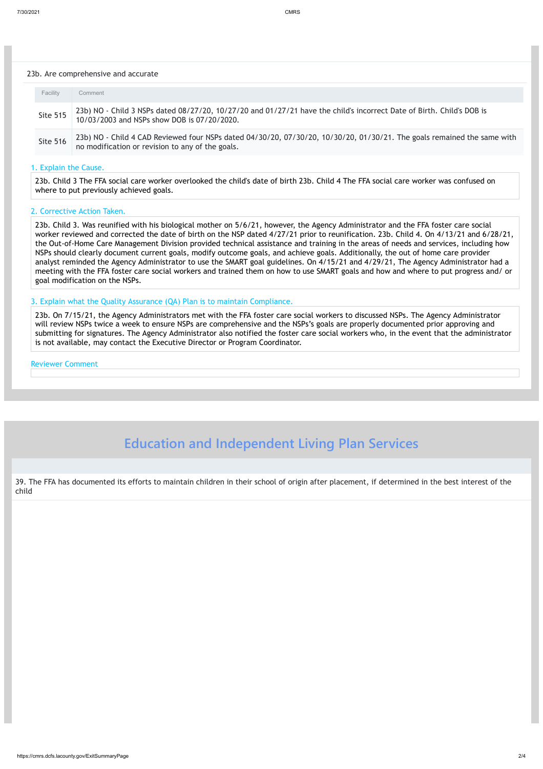#### 7/30/2021 CMRS

https://cmrs.dcfs.lacounty.gov/ExitSummaryPage 2/4

#### 23b. Are comprehensive and accurate

#### 1. Explain the Cause.

23b. Child 3 The FFA social care worker overlooked the child's date of birth 23b. Child 4 The FFA social care worker was confused on where to put previously achieved goals.

#### 2. Corrective Action Taken.

23b. Child 3. Was reunified with his biological mother on 5/6/21, however, the Agency Administrator and the FFA foster care social worker reviewed and corrected the date of birth on the NSP dated 4/27/21 prior to reunification. 23b. Child 4. On 4/13/21 and 6/28/21, the Out-of-Home Care Management Division provided technical assistance and training in the areas of needs and services, including how NSPs should clearly document current goals, modify outcome goals, and achieve goals. Additionally, the out of home care provider analyst reminded the Agency Administrator to use the SMART goal guidelines. On 4/15/21 and 4/29/21, The Agency Administrator had a meeting with the FFA foster care social workers and trained them on how to use SMART goals and how and where to put progress and/ or goal modification on the NSPs.

| Facility        | Comment                                                                                                                                                                     |
|-----------------|-----------------------------------------------------------------------------------------------------------------------------------------------------------------------------|
| <b>Site 515</b> | 23b) NO - Child 3 NSPs dated 08/27/20, 10/27/20 and 01/27/21 have the child's incorrect Date of Birth. Child's DOB is<br>10/03/2003 and NSPs show DOB is 07/20/2020.        |
| <b>Site 516</b> | 23b) NO - Child 4 CAD Reviewed four NSPs dated 04/30/20, 07/30/20, 10/30/20, 01/30/21. The goals remained the same with<br>no modification or revision to any of the goals. |

#### 3. Explain what the Quality Assurance (QA) Plan is to maintain Compliance.

23b. On 7/15/21, the Agency Administrators met with the FFA foster care social workers to discussed NSPs. The Agency Administrator will review NSPs twice a week to ensure NSPs are comprehensive and the NSPs's goals are properly documented prior approving and submitting for signatures. The Agency Administrator also notified the foster care social workers who, in the event that the administrator is not available, may contact the Executive Director or Program Coordinator.

#### Reviewer Comment

**Education and Independent Living Plan Services**

39. The FFA has documented its efforts to maintain children in their school of origin after placement, if determined in the best interest of the child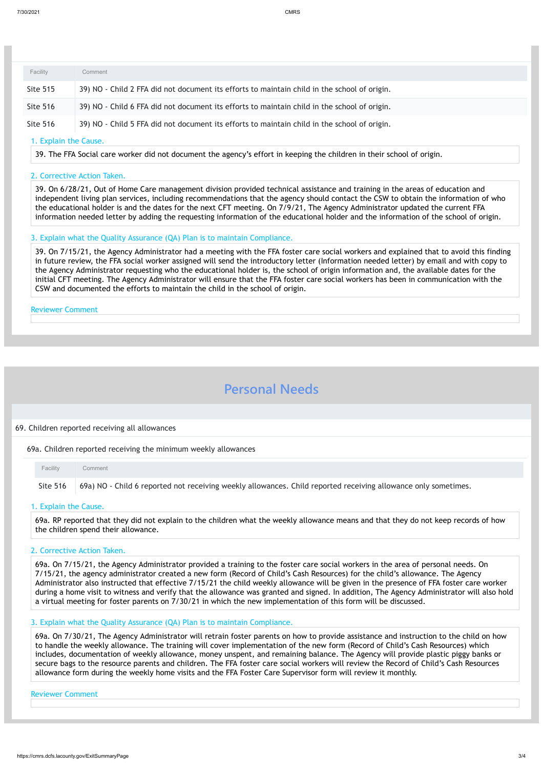#### 1. Explain the Cause.

39. The FFA Social care worker did not document the agency's effort in keeping the children in their school of origin.

#### 2. Corrective Action Taken.

39. On 6/28/21, Out of Home Care management division provided technical assistance and training in the areas of education and independent living plan services, including recommendations that the agency should contact the CSW to obtain the information of who the educational holder is and the dates for the next CFT meeting. On 7/9/21, The Agency Administrator updated the current FFA information needed letter by adding the requesting information of the educational holder and the information of the school of origin.

#### 3. Explain what the Quality Assurance (QA) Plan is to maintain Compliance.

39. On 7/15/21, the Agency Administrator had a meeting with the FFA foster care social workers and explained that to avoid this finding in future review, the FFA social worker assigned will send the introductory letter (Information needed letter) by email and with copy to the Agency Administrator requesting who the educational holder is, the school of origin information and, the available dates for the initial CFT meeting. The Agency Administrator will ensure that the FFA foster care social workers has been in communication with the CSW and documented the efforts to maintain the child in the school of origin.

Reviewer Comment

# **Personal Needs**

#### 69. Children reported receiving all allowances

| Facility        | Comment                                                                                      |
|-----------------|----------------------------------------------------------------------------------------------|
| <b>Site 515</b> | 39) NO - Child 2 FFA did not document its efforts to maintain child in the school of origin. |
| <b>Site 516</b> | 39) NO - Child 6 FFA did not document its efforts to maintain child in the school of origin. |
| <b>Site 516</b> | 39) NO - Child 5 FFA did not document its efforts to maintain child in the school of origin. |

69a. Children reported receiving the minimum weekly allowances

#### 1. Explain the Cause.

69a. RP reported that they did not explain to the children what the weekly allowance means and that they do not keep records of how the children spend their allowance.

#### 2. Corrective Action Taken.

69a. On 7/15/21, the Agency Administrator provided a training to the foster care social workers in the area of personal needs. On 7/15/21, the agency administrator created a new form (Record of Child's Cash Resources) for the child's allowance. The Agency Administrator also instructed that effective 7/15/21 the child weekly allowance will be given in the presence of FFA foster care worker during a home visit to witness and verify that the allowance was granted and signed. In addition, The Agency Administrator will also hold a virtual meeting for foster parents on 7/30/21 in which the new implementation of this form will be discussed.

| <b>Facility</b> | Comment                                                                                                                  |
|-----------------|--------------------------------------------------------------------------------------------------------------------------|
|                 | Site 516 (69a) NO - Child 6 reported not receiving weekly allowances. Child reported receiving allowance only sometimes. |

#### 3. Explain what the Quality Assurance (QA) Plan is to maintain Compliance.

69a. On 7/30/21, The Agency Administrator will retrain foster parents on how to provide assistance and instruction to the child on how to handle the weekly allowance. The training will cover implementation of the new form (Record of Child's Cash Resources) which includes, documentation of weekly allowance, money unspent, and remaining balance. The Agency will provide plastic piggy banks or secure bags to the resource parents and children. The FFA foster care social workers will review the Record of Child's Cash Resources allowance form during the weekly home visits and the FFA Foster Care Supervisor form will review it monthly.

#### Reviewer Comment